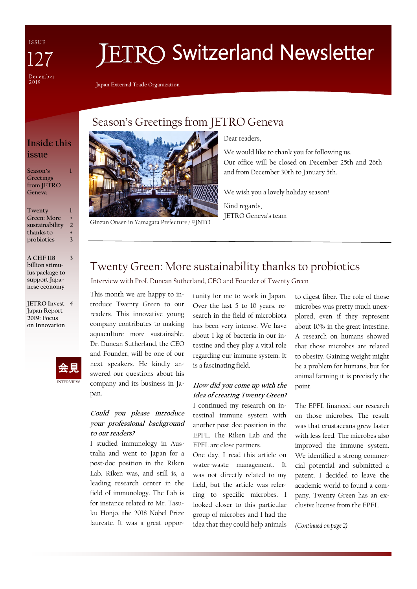ISSUE December<br>2019

# **ETRO Switzerland Newsletter**

**Japan External Trade Organization**

## **Inside this**

**1**

**3**

**issue**

**Season's Greetings from JETRO Geneva**

**Twenty Green: More sustainability thanks to probiotics 1 + 2 + 3**

**A CHF 118 billion stimulus package to support Japanese economy**

**JETRO Invest 4 Japan Report 2019: Focus on Innovation**



## Season's Greetings from JETRO Geneva



Ginzan Onsen in Yamagata Prefecture / ©JNTO

Dear readers,

We would like to thank you for following us. Our office will be closed on December 25th and 26th and from December 30th to January 5th.

We wish you a lovely holiday season!

Kind regards, JETRO Geneva's team

## Twenty Green: More sustainability thanks to probiotics

Interview with Prof. Duncan Sutherland, CEO and Founder of Twenty Green

This month we are happy to introduce Twenty Green to our readers. This innovative young company contributes to making aquaculture more sustainable. Dr. Duncan Sutherland, the CEO and Founder, will be one of our next speakers. He kindly answered our questions about his company and its business in Japan.

## **Could you please introduce your professional background to our readers?**

I studied immunology in Australia and went to Japan for a post-doc position in the Riken Lab. Riken was, and still is, a leading research center in the field of immunology. The Lab is for instance related to Mr. Tasuku Honjo, the 2018 Nobel Prize laureate. It was a great oppor-

tunity for me to work in Japan. Over the last 5 to 10 years, research in the field of microbiota has been very intense. We have about 1 kg of bacteria in our intestine and they play a vital role regarding our immune system. It is a fascinating field.

## **How did you come up with the idea of creating Twenty Green?**

I continued my research on intestinal immune system with another post doc position in the EPFL. The Riken Lab and the EPFL are close partners.

One day, I read this article on water-waste management. It was not directly related to my field, but the article was referring to specific microbes. I looked closer to this particular group of microbes and I had the idea that they could help animals to digest fiber. The role of those microbes was pretty much unexplored, even if they represent about 10% in the great intestine. A research on humans showed that those microbes are related to obesity. Gaining weight might be a problem for humans, but for animal farming it is precisely the point.

The EPFL financed our research on those microbes. The result was that crustaceans grew faster with less feed. The microbes also improved the immune system. We identified a strong commercial potential and submitted a patent. I decided to leave the academic world to found a company. Twenty Green has an exclusive license from the EPFL.

*(Continued on page 2)*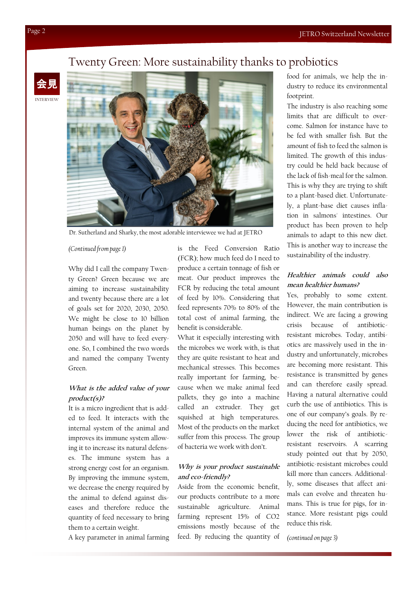## Twenty Green: More sustainability thanks to probiotics

INTERVIEW 会見



Dr. Sutherland and Sharky, the most adorable interviewee we had at JETRO

#### *(Continued from page 1)*

Why did I call the company Twenty Green? Green because we are aiming to increase sustainability and twenty because there are a lot of goals set for 2020, 2030, 2050. We might be close to 10 billion human beings on the planet by 2050 and will have to feed everyone. So, I combined the two words and named the company Twenty Green.

### **What is the added value of your product(s)?**

It is a micro ingredient that is added to feed. It interacts with the internal system of the animal and improves its immune system allowing it to increase its natural defenses. The immune system has a strong energy cost for an organism. By improving the immune system, we decrease the energy required by the animal to defend against diseases and therefore reduce the quantity of feed necessary to bring them to a certain weight.

A key parameter in animal farming

is the Feed Conversion Ratio (FCR); how much feed do I need to produce a certain tonnage of fish or meat. Our product improves the FCR by reducing the total amount of feed by 10%. Considering that feed represents 70% to 80% of the total cost of animal farming, the benefit is considerable.

What it especially interesting with the microbes we work with, is that they are quite resistant to heat and mechanical stresses. This becomes really important for farming, because when we make animal feed pallets, they go into a machine called an extruder. They get squished at high temperatures. Most of the products on the market suffer from this process. The group of bacteria we work with don't.

#### **Why is your product sustainable and eco-friendly?**

Aside from the economic benefit, our products contribute to a more sustainable agriculture. Animal farming represent 15% of CO2 emissions mostly because of the feed. By reducing the quantity of

food for animals, we help the industry to reduce its environmental footprint.

The industry is also reaching some limits that are difficult to overcome. Salmon for instance have to be fed with smaller fish. But the amount of fish to feed the salmon is limited. The growth of this industry could be held back because of the lack of fish-meal for the salmon. This is why they are trying to shift to a plant-based diet. Unfortunately, a plant-base diet causes inflation in salmons' intestines. Our product has been proven to help animals to adapt to this new diet. This is another way to increase the sustainability of the industry.

## **Healthier animals could also mean healthier humans?**

Yes, probably to some extent. However, the main contribution is indirect. We are facing a growing crisis because of antibioticresistant microbes. Today, antibiotics are massively used in the industry and unfortunately, microbes are becoming more resistant. This resistance is transmitted by genes and can therefore easily spread. Having a natural alternative could curb the use of antibiotics. This is one of our company's goals. By reducing the need for antibiotics, we lower the risk of antibioticresistant reservoirs. A scarring study pointed out that by 2050, antibiotic-resistant microbes could kill more than cancers. Additionally, some diseases that affect animals can evolve and threaten humans. This is true for pigs, for instance. More resistant pigs could reduce this risk.

*(continued on page 3)*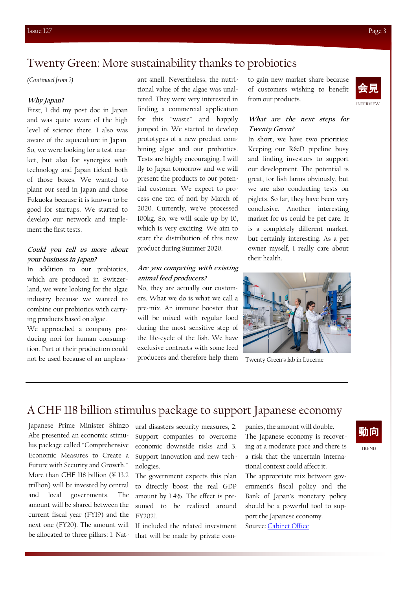## Twenty Green: More sustainability thanks to probiotics

*(Continued from 2)*

#### **Why Japan?**

First, I did my post doc in Japan and was quite aware of the high level of science there. I also was aware of the aquaculture in Japan. So, we were looking for a test market, but also for synergies with technology and Japan ticked both of those boxes. We wanted to plant our seed in Japan and chose Fukuoka because it is known to be good for startups. We started to develop our network and implement the first tests.

### **Could you tell us more about your business in Japan?**

In addition to our probiotics, which are produced in Switzerland, we were looking for the algae industry because we wanted to combine our probiotics with carrying products based on algae.

We approached a company producing nori for human consumption. Part of their production could not be used because of an unpleasant smell. Nevertheless, the nutritional value of the algae was unaltered. They were very interested in finding a commercial application for this "waste" and happily jumped in. We started to develop prototypes of a new product combining algae and our probiotics. Tests are highly encouraging. I will fly to Japan tomorrow and we will present the products to our potential customer. We expect to process one ton of nori by March of 2020. Currently, we've processed 100kg. So, we will scale up by 10, which is very exciting. We aim to start the distribution of this new product during Summer 2020.

#### **Are you competing with existing animal feed producers?**

No, they are actually our customers. What we do is what we call a pre-mix. An immune booster that will be mixed with regular food during the most sensitive step of the life-cycle of the fish. We have exclusive contracts with some feed producers and therefore help them

to gain new market share because of customers wishing to benefit from our products.



#### **What are the next steps for Twenty Green?**

In short, we have two priorities: Keeping our R&D pipeline busy and finding investors to support our development. The potential is great, for fish farms obviously, but we are also conducting tests on piglets. So far, they have been very conclusive. Another interesting market for us could be pet care. It is a completely different market, but certainly interesting. As a pet owner myself, I really care about their health.



Twenty Green's lab in Lucerne

## A CHF 118 billion stimulus package to support Japanese economy

Japanese Prime Minister Shinzo Abe presented an economic stimulus package called "Comprehensive Economic Measures to Create a Future with Security and Growth." More than CHF 118 billion (¥ 13.2 trillion) will be invested by central and local governments. The amount will be shared between the current fiscal year (FY19) and the next one (FY20). The amount will be allocated to three pillars: 1. Nat-

ural disasters security measures, 2. Support companies to overcome economic downside risks and 3. Support innovation and new technologies.

The government expects this plan to directly boost the real GDP amount by 1.4%. The effect is presumed to be realized around FY2021.

If included the related investment that will be made by private companies, the amount will double. The Japanese economy is recovering at a moderate pace and there is a risk that the uncertain international context could affect it.

The appropriate mix between government's fiscal policy and the Bank of Japan's monetary policy should be a powerful tool to support the Japanese economy. Source: [Cabinet Office](https://www5.cao.go.jp/keizai1/keizaitaisaku/keizaitaisaku.html)

## 動向

TREND